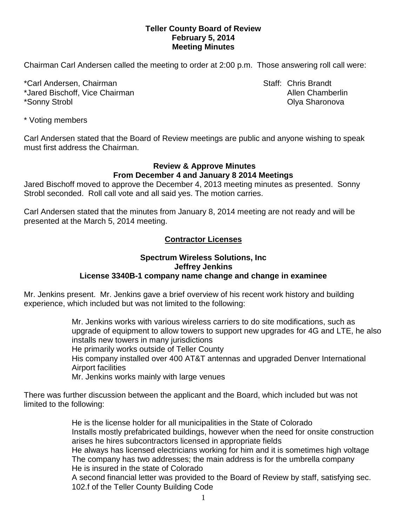### **Teller County Board of Review February 5, 2014 Meeting Minutes**

Chairman Carl Andersen called the meeting to order at 2:00 p.m. Those answering roll call were:

\*Carl Andersen, Chairman Staff: Chris Brandt \*Jared Bischoff, Vice Chairman **Allen Chamberlin** Allen Chamberlin \*Sonny Strobl Olya Sharonova

\* Voting members

Carl Andersen stated that the Board of Review meetings are public and anyone wishing to speak must first address the Chairman.

### **Review & Approve Minutes From December 4 and January 8 2014 Meetings**

Jared Bischoff moved to approve the December 4, 2013 meeting minutes as presented. Sonny Strobl seconded.Roll call vote and all said yes. The motion carries.

Carl Andersen stated that the minutes from January 8, 2014 meeting are not ready and will be presented at the March 5, 2014 meeting.

# **Contractor Licenses**

#### **Spectrum Wireless Solutions, Inc Jeffrey Jenkins License 3340B-1 company name change and change in examinee**

Mr. Jenkins present. Mr. Jenkins gave a brief overview of his recent work history and building experience, which included but was not limited to the following:

> Mr. Jenkins works with various wireless carriers to do site modifications, such as upgrade of equipment to allow towers to support new upgrades for 4G and LTE, he also installs new towers in many jurisdictions He primarily works outside of Teller County His company installed over 400 AT&T antennas and upgraded Denver International Airport facilities Mr. Jenkins works mainly with large venues

There was further discussion between the applicant and the Board, which included but was not limited to the following:

> He is the license holder for all municipalities in the State of Colorado Installs mostly prefabricated buildings, however when the need for onsite construction arises he hires subcontractors licensed in appropriate fields He always has licensed electricians working for him and it is sometimes high voltage The company has two addresses; the main address is for the umbrella company He is insured in the state of Colorado

> A second financial letter was provided to the Board of Review by staff, satisfying sec. 102.f of the Teller County Building Code